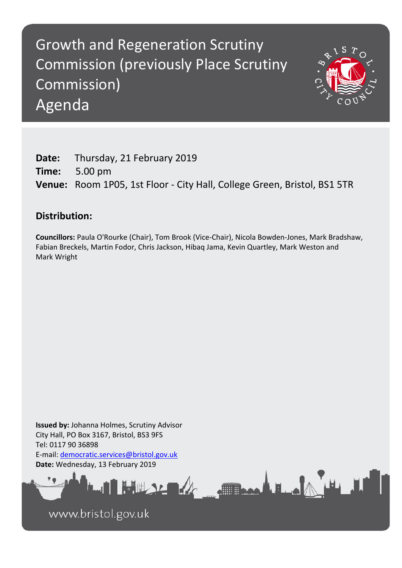# Growth and Regeneration Scrutiny Commission (previously Place Scrutiny Commission) Agenda



**Date:** Thursday, 21 February 2019 **Time:** 5.00 pm **Venue:** Room 1P05, 1st Floor - City Hall, College Green, Bristol, BS1 5TR

## **Distribution:**

**Councillors:** Paula O'Rourke (Chair), Tom Brook (Vice-Chair), Nicola Bowden-Jones, Mark Bradshaw, Fabian Breckels, Martin Fodor, Chris Jackson, Hibaq Jama, Kevin Quartley, Mark Weston and Mark Wright

Frank Lake

**Issued by:** Johanna Holmes, Scrutiny Advisor City Hall, PO Box 3167, Bristol, BS3 9FS Tel: 0117 90 36898 E-mail: [democratic.services@bristol.gov.uk](mailto:democratic.services@bristol.gov.uk) **Date:** Wednesday, 13 February 2019

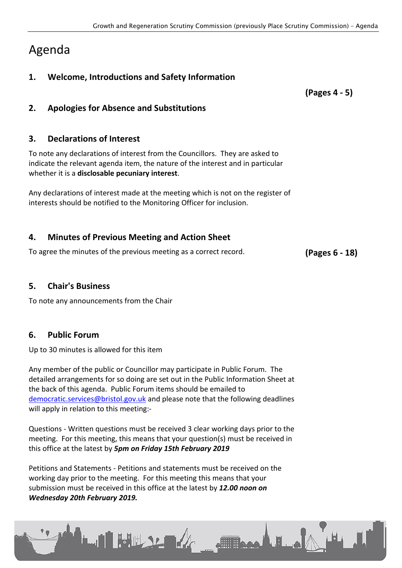# Agenda

### **1. Welcome, Introductions and Safety Information**

**(Pages 4 - 5)**

#### **2. Apologies for Absence and Substitutions**

#### **3. Declarations of Interest**

To note any declarations of interest from the Councillors. They are asked to indicate the relevant agenda item, the nature of the interest and in particular whether it is a **disclosable pecuniary interest**.

Any declarations of interest made at the meeting which is not on the register of interests should be notified to the Monitoring Officer for inclusion.

#### **4. Minutes of Previous Meeting and Action Sheet**

To agree the minutes of the previous meeting as a correct record. **(Pages 6 - 18)**

#### **5. Chair's Business**

To note any announcements from the Chair

#### **6. Public Forum**

Up to 30 minutes is allowed for this item

Any member of the public or Councillor may participate in Public Forum. The detailed arrangements for so doing are set out in the Public Information Sheet at the back of this agenda. Public Forum items should be emailed to [democratic.services@bristol.gov.uk](mailto:democratic.services@bristol.gov.uk) and please note that the following deadlines will apply in relation to this meeting:-

Questions - Written questions must be received 3 clear working days prior to the meeting. For this meeting, this means that your question(s) must be received in this office at the latest by *5pm on Friday 15th February 2019*

Petitions and Statements - Petitions and statements must be received on the working day prior to the meeting. For this meeting this means that your submission must be received in this office at the latest by *12.00 noon on Wednesday 20th February 2019.*